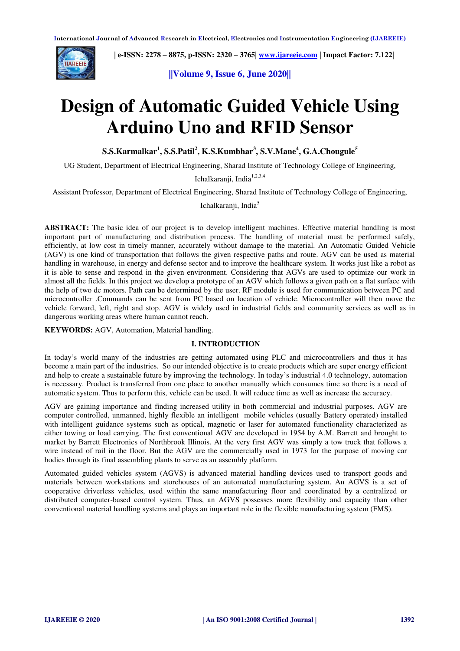

 **| e-ISSN: 2278 – 8875, p-ISSN: 2320 – 3765| [www.ijareeie.com](http://www.ijareeie.com/) | Impact Factor: 7.122|** 

**||Volume 9, Issue 6, June 2020||** 

# **Design of Automatic Guided Vehicle Using Arduino Uno and RFID Sensor**

**S.S.Karmalkar<sup>1</sup> , S.S.Patil<sup>2</sup> , K.S.Kumbhar<sup>3</sup> , S.V.Mane<sup>4</sup> , G.A.Chougule<sup>5</sup>**

UG Student, Department of Electrical Engineering, Sharad Institute of Technology College of Engineering,

Ichalkaranii, India $1,2,3,4$ 

Assistant Professor, Department of Electrical Engineering, Sharad Institute of Technology College of Engineering,

Ichalkaranji, India<sup>5</sup>

**ABSTRACT:** The basic idea of our project is to develop intelligent machines. Effective material handling is most important part of manufacturing and distribution process. The handling of material must be performed safely, efficiently, at low cost in timely manner, accurately without damage to the material. An Automatic Guided Vehicle (AGV) is one kind of transportation that follows the given respective paths and route. AGV can be used as material handling in warehouse, in energy and defense sector and to improve the healthcare system. It works just like a robot as it is able to sense and respond in the given environment. Considering that AGVs are used to optimize our work in almost all the fields. In this project we develop a prototype of an AGV which follows a given path on a flat surface with the help of two dc motors. Path can be determined by the user. RF module is used for communication between PC and microcontroller .Commands can be sent from PC based on location of vehicle. Microcontroller will then move the vehicle forward, left, right and stop. AGV is widely used in industrial fields and community services as well as in dangerous working areas where human cannot reach.

**KEYWORDS:** AGV, Automation, Material handling.

#### **I. INTRODUCTION**

In today's world many of the industries are getting automated using PLC and microcontrollers and thus it has become a main part of the industries. So our intended objective is to create products which are super energy efficient and help to create a sustainable future by improving the technology. In today's industrial 4.0 technology, automation is necessary. Product is transferred from one place to another manually which consumes time so there is a need of automatic system. Thus to perform this, vehicle can be used. It will reduce time as well as increase the accuracy.

AGV are gaining importance and finding increased utility in both commercial and industrial purposes. AGV are computer controlled, unmanned, highly flexible an intelligent mobile vehicles (usually Battery operated) installed with intelligent guidance systems such as optical, magnetic or laser for automated functionality characterized as either towing or load carrying. The first conventional AGV are developed in 1954 by A.M. Barrett and brought to market by Barrett Electronics of Northbrook Illinois. At the very first AGV was simply a tow truck that follows a wire instead of rail in the floor. But the AGV are the commercially used in 1973 for the purpose of moving car bodies through its final assembling plants to serve as an assembly platform.

Automated guided vehicles system (AGVS) is advanced material handling devices used to transport goods and materials between workstations and storehouses of an automated manufacturing system. An AGVS is a set of cooperative driverless vehicles, used within the same manufacturing floor and coordinated by a centralized or distributed computer-based control system. Thus, an AGVS possesses more flexibility and capacity than other conventional material handling systems and plays an important role in the flexible manufacturing system (FMS).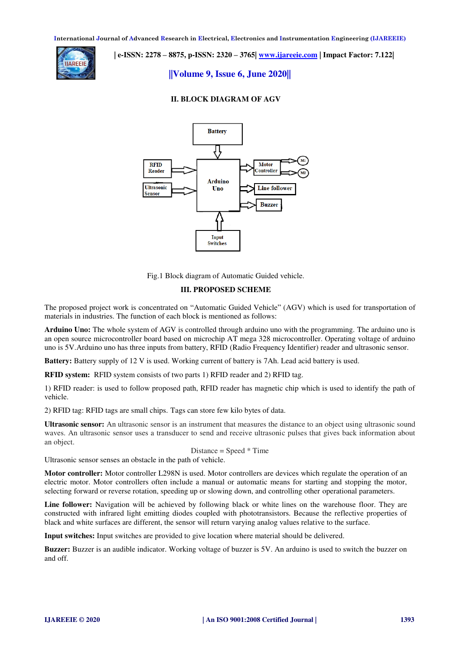**International Journal of Advanced Research in Electrical, Electronics and Instrumentation Engineering (IJAREEIE)** 



 **| e-ISSN: 2278 – 8875, p-ISSN: 2320 – 3765| [www.ijareeie.com](http://www.ijareeie.com/) | Impact Factor: 7.122|** 

## **||Volume 9, Issue 6, June 2020||**

### **II. BLOCK DIAGRAM OF AGV**



Fig.1 Block diagram of Automatic Guided vehicle.

#### **III. PROPOSED SCHEME**

The proposed project work is concentrated on "Automatic Guided Vehicle" (AGV) which is used for transportation of materials in industries. The function of each block is mentioned as follows:

**Arduino Uno:** The whole system of AGV is controlled through arduino uno with the programming. The arduino uno is an open source microcontroller board based on microchip AT mega 328 microcontroller. Operating voltage of arduino uno is 5V.Arduino uno has three inputs from battery, RFID (Radio Frequency Identifier) reader and ultrasonic sensor.

**Battery:** Battery supply of 12 V is used. Working current of battery is 7Ah. Lead acid battery is used.

**RFID system:** RFID system consists of two parts 1) RFID reader and 2) RFID tag.

1) RFID reader: is used to follow proposed path, RFID reader has magnetic chip which is used to identify the path of vehicle.

2) RFID tag: RFID tags are small chips. Tags can store few kilo bytes of data.

**Ultrasonic sensor:** An ultrasonic sensor is an instrument that measures the distance to an object using ultrasonic sound waves. An ultrasonic sensor uses a transducer to send and receive ultrasonic pulses that gives back information about an object.

Distance = Speed \* Time

Ultrasonic sensor senses an obstacle in the path of vehicle.

**Motor controller:** Motor controller L298N is used. Motor controllers are devices which regulate the operation of an electric motor. Motor controllers often include a manual or automatic means for starting and stopping the motor, selecting forward or reverse rotation, speeding up or slowing down, and controlling other [operational parameters.](https://www.sciencedirect.com/topics/engineering/operational-parameter)

Line follower: Navigation will be achieved by following black or white lines on the warehouse floor. They are constructed with infrared light emitting diodes coupled with phototransistors. Because the reflective properties of black and white surfaces are different, the sensor will return varying analog values relative to the surface.

**Input switches:** Input switches are provided to give location where material should be delivered.

**Buzzer:** Buzzer is an audible indicator. Working voltage of buzzer is 5V. An arduino is used to switch the buzzer on and off.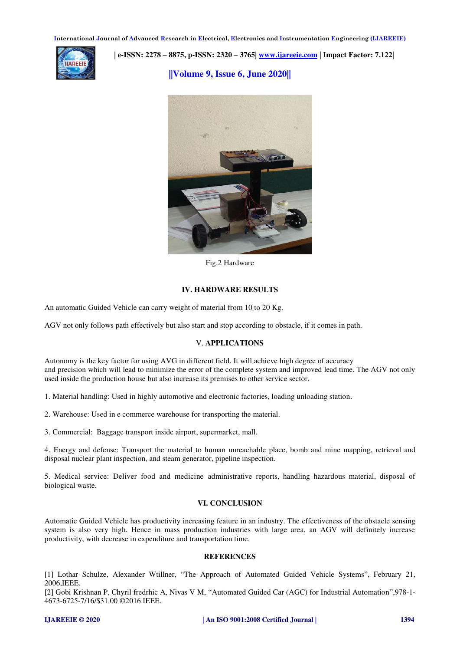**International Journal of Advanced Research in Electrical, Electronics and Instrumentation Engineering (IJAREEIE)** 



 **| e-ISSN: 2278 – 8875, p-ISSN: 2320 – 3765| [www.ijareeie.com](http://www.ijareeie.com/) | Impact Factor: 7.122|** 

**||Volume 9, Issue 6, June 2020||** 



Fig.2 Hardware

#### **IV. HARDWARE RESULTS**

An automatic Guided Vehicle can carry weight of material from 10 to 20 Kg.

AGV not only follows path effectively but also start and stop according to obstacle, if it comes in path.

#### V. **APPLICATIONS**

Autonomy is the key factor for using AVG in different field. It will achieve high degree of accuracy and precision which will lead to minimize the error of the complete system and improved lead time. The AGV not only used inside the production house but also increase its premises to other service sector.

1. Material handling: Used in highly automotive and electronic factories, loading unloading station.

2. Warehouse: Used in e commerce warehouse for transporting the material.

3. Commercial: Baggage transport inside airport, supermarket, mall.

4. Energy and defense: Transport the material to human unreachable place, bomb and mine mapping, retrieval and disposal nuclear plant inspection, and steam generator, pipeline inspection.

5. Medical service: Deliver food and medicine administrative reports, handling hazardous material, disposal of biological waste.

#### **VI. CONCLUSION**

Automatic Guided Vehicle has productivity increasing feature in an industry. The effectiveness of the obstacle sensing system is also very high. Hence in mass production industries with large area, an AGV will definitely increase productivity, with decrease in expenditure and transportation time.

#### **REFERENCES**

[1] Lothar Schulze, Alexander Wtillner, "The Approach of Automated Guided Vehicle Systems", February 21, 2006,IEEE.

[2] Gobi Krishnan P, Chyril fredrhic A, Nivas V M, "Automated Guided Car (AGC) for Industrial Automation",978-1- 4673-6725-7/16/\$31.00 ©2016 IEEE.